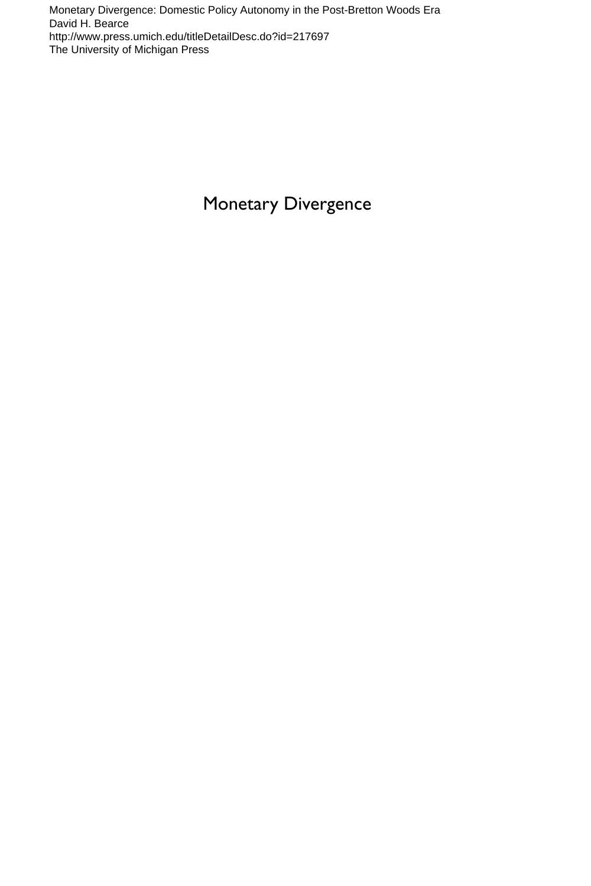### Monetary Divergence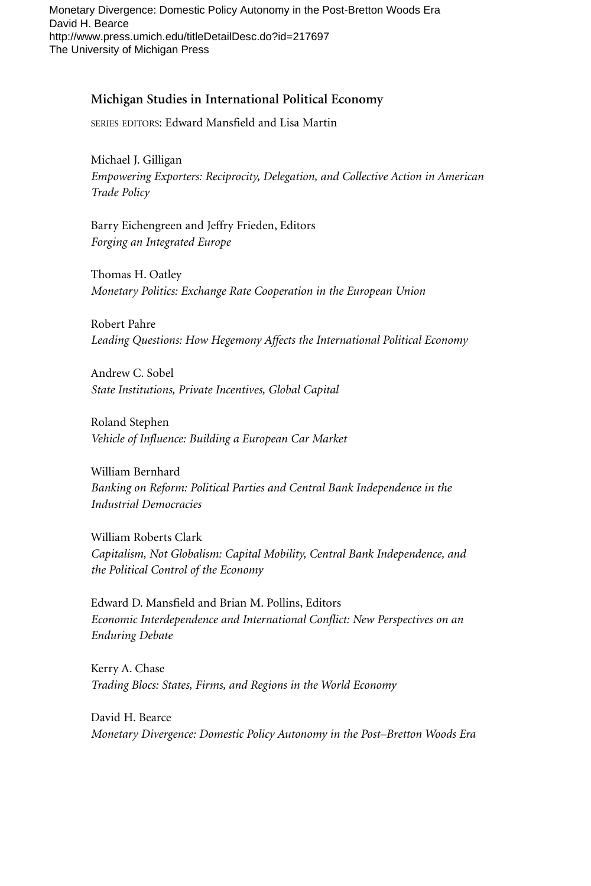#### **Michigan Studies in International Political Economy**

SERIES EDITORS: Edward Mansfield and Lisa Martin

Michael J. Gilligan *Empowering Exporters: Reciprocity, Delegation, and Collective Action in American Trade Policy*

Barry Eichengreen and Jeffry Frieden, Editors *Forging an Integrated Europe*

Thomas H. Oatley *Monetary Politics: Exchange Rate Cooperation in the European Union*

Robert Pahre *Leading Questions: How Hegemony Affects the International Political Economy*

Andrew C. Sobel *State Institutions, Private Incentives, Global Capital*

Roland Stephen *Vehicle of Influence: Building a European Car Market*

William Bernhard *Banking on Reform: Political Parties and Central Bank Independence in the Industrial Democracies*

William Roberts Clark *Capitalism, Not Globalism: Capital Mobility, Central Bank Independence, and the Political Control of the Economy*

Edward D. Mansfield and Brian M. Pollins, Editors *Economic Interdependence and International Conflict: New Perspectives on an Enduring Debate*

Kerry A. Chase *Trading Blocs: States, Firms, and Regions in the World Economy*

David H. Bearce *Monetary Divergence: Domestic Policy Autonomy in the Post–Bretton Woods Era*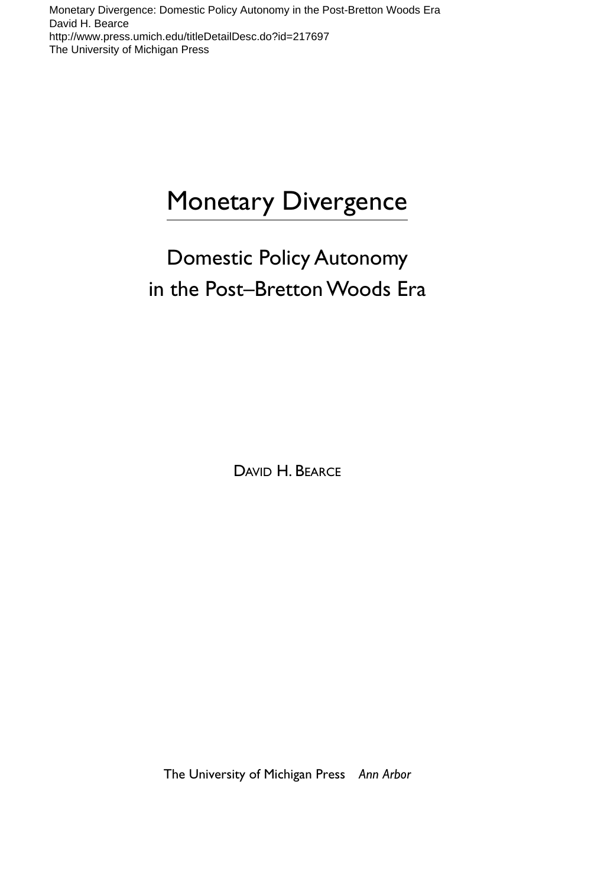# Monetary Divergence

# Domestic Policy Autonomy in the Post–Bretton Woods Era

DAVID H. BEARCE

The University of Michigan Press *Ann Arbor*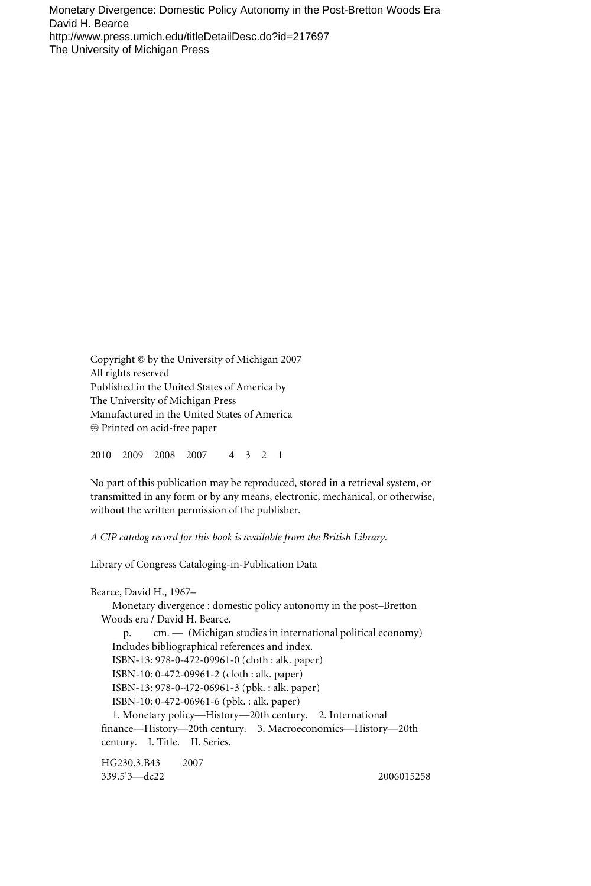> Copyright © by the University of Michigan 2007 All rights reserved Published in the United States of America by The University of Michigan Press Manufactured in the United States of America  $@$  Printed on acid-free paper

2010 2009 2008 2007 4321

No part of this publication may be reproduced, stored in a retrieval system, or transmitted in any form or by any means, electronic, mechanical, or otherwise, without the written permission of the publisher.

*A CIP catalog record for this book is available from the British Library.*

Library of Congress Cataloging-in-Publication Data

Bearce, David H., 1967– Monetary divergence : domestic policy autonomy in the post–Bretton Woods era / David H. Bearce. p. cm. — (Michigan studies in international political economy) Includes bibliographical references and index. ISBN-13: 978-0-472-09961-0 (cloth : alk. paper) ISBN-10: 0-472-09961-2 (cloth : alk. paper) ISBN-13: 978-0-472-06961-3 (pbk. : alk. paper) ISBN-10: 0-472-06961-6 (pbk. : alk. paper) 1. Monetary policy—History—20th century. 2. International finance—History—20th century. 3. Macroeconomics—History—20th century. I. Title. II. Series. HG230.3.B43 2007 339.5'3—dc22 2006015258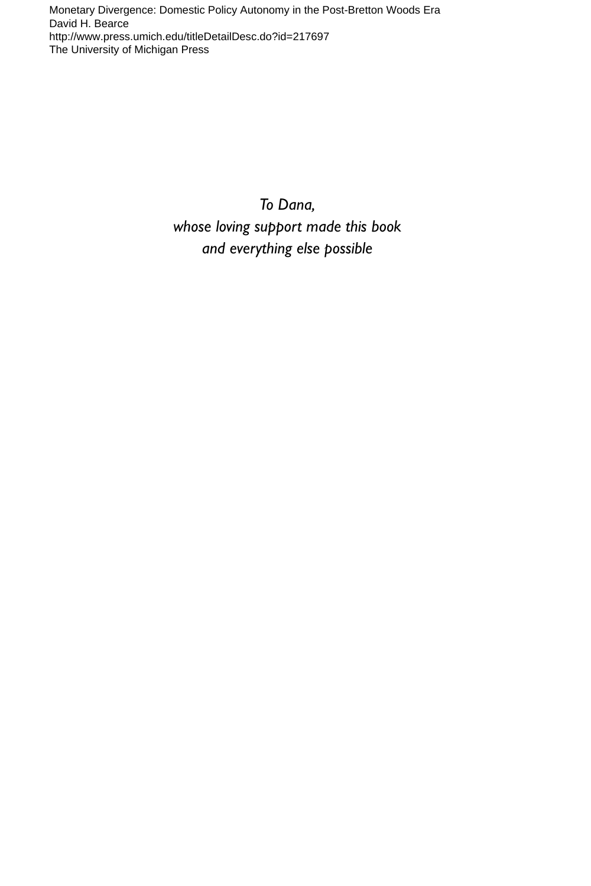> *To Dana, whose loving support made this book and everything else possible*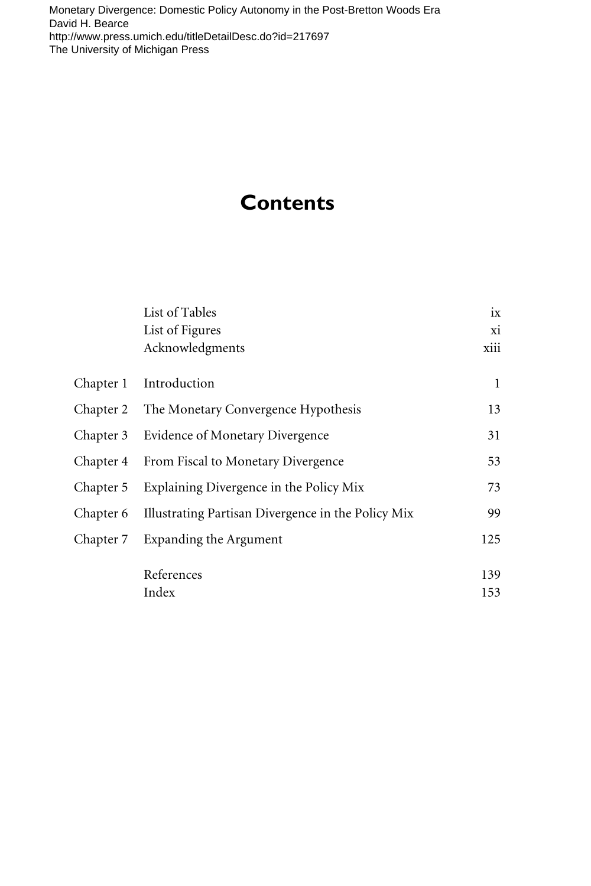## **Contents**

|           | List of Tables                                     | ix   |
|-----------|----------------------------------------------------|------|
|           | List of Figures                                    | xi   |
|           | Acknowledgments                                    | xiii |
| Chapter 1 | Introduction                                       | 1    |
| Chapter 2 | The Monetary Convergence Hypothesis                | 13   |
| Chapter 3 | Evidence of Monetary Divergence                    | 31   |
| Chapter 4 | From Fiscal to Monetary Divergence                 | 53   |
| Chapter 5 | Explaining Divergence in the Policy Mix            | 73   |
| Chapter 6 | Illustrating Partisan Divergence in the Policy Mix | 99   |
| Chapter 7 | Expanding the Argument                             | 125  |
|           | References                                         | 139  |
|           | Index                                              | 153  |
|           |                                                    |      |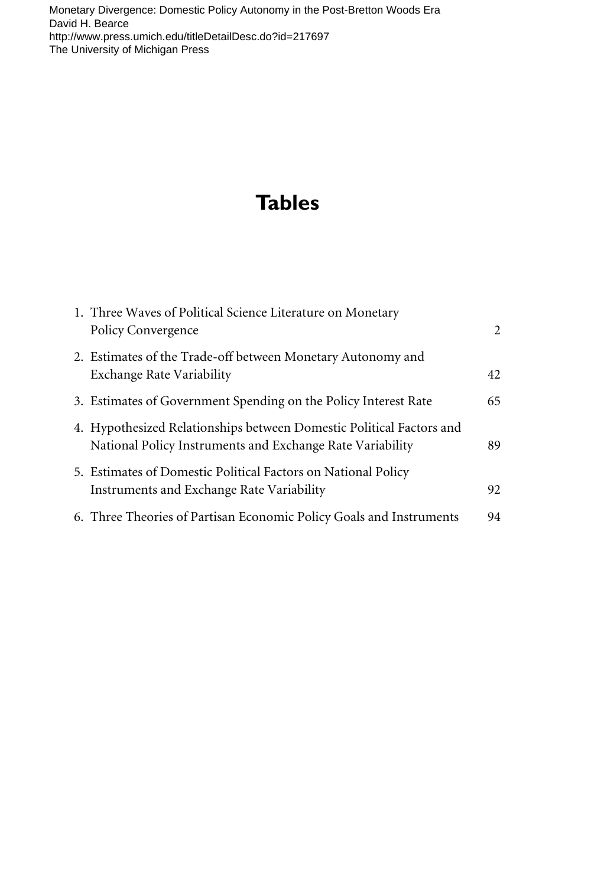### **Tables**

| 1. Three Waves of Political Science Literature on Monetary<br>Policy Convergence                                                  | 2  |
|-----------------------------------------------------------------------------------------------------------------------------------|----|
| 2. Estimates of the Trade-off between Monetary Autonomy and<br>Exchange Rate Variability                                          | 42 |
| 3. Estimates of Government Spending on the Policy Interest Rate                                                                   | 65 |
| 4. Hypothesized Relationships between Domestic Political Factors and<br>National Policy Instruments and Exchange Rate Variability | 89 |
| 5. Estimates of Domestic Political Factors on National Policy<br>Instruments and Exchange Rate Variability                        | 92 |
| 6. Three Theories of Partisan Economic Policy Goals and Instruments                                                               | 94 |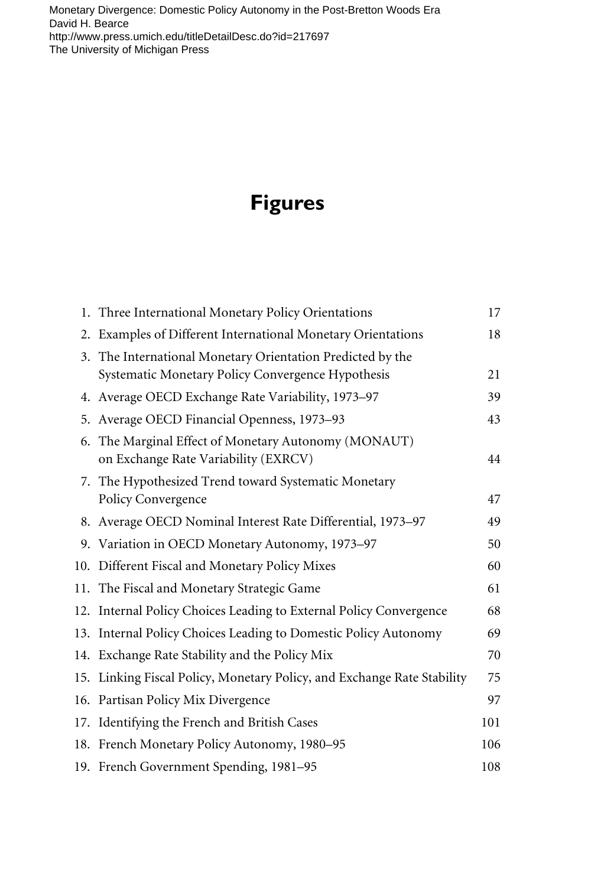## **Figures**

| 1. Three International Monetary Policy Orientations                                                             | 17  |
|-----------------------------------------------------------------------------------------------------------------|-----|
| 2. Examples of Different International Monetary Orientations                                                    | 18  |
| 3. The International Monetary Orientation Predicted by the<br>Systematic Monetary Policy Convergence Hypothesis | 21  |
| 4. Average OECD Exchange Rate Variability, 1973-97                                                              | 39  |
| 5. Average OECD Financial Openness, 1973-93                                                                     | 43  |
| 6. The Marginal Effect of Monetary Autonomy (MONAUT)<br>on Exchange Rate Variability (EXRCV)                    | 44  |
| 7. The Hypothesized Trend toward Systematic Monetary<br>Policy Convergence                                      | 47  |
| 8. Average OECD Nominal Interest Rate Differential, 1973-97                                                     | 49  |
| 9. Variation in OECD Monetary Autonomy, 1973-97                                                                 | 50  |
| 10. Different Fiscal and Monetary Policy Mixes                                                                  | 60  |
| 11. The Fiscal and Monetary Strategic Game                                                                      | 61  |
| 12. Internal Policy Choices Leading to External Policy Convergence                                              | 68  |
| 13. Internal Policy Choices Leading to Domestic Policy Autonomy                                                 | 69  |
| 14. Exchange Rate Stability and the Policy Mix                                                                  | 70  |
| 15. Linking Fiscal Policy, Monetary Policy, and Exchange Rate Stability                                         | 75  |
| 16. Partisan Policy Mix Divergence                                                                              | 97  |
| 17. Identifying the French and British Cases                                                                    | 101 |
| 18. French Monetary Policy Autonomy, 1980-95                                                                    | 106 |
| 19. French Government Spending, 1981–95                                                                         | 108 |
|                                                                                                                 |     |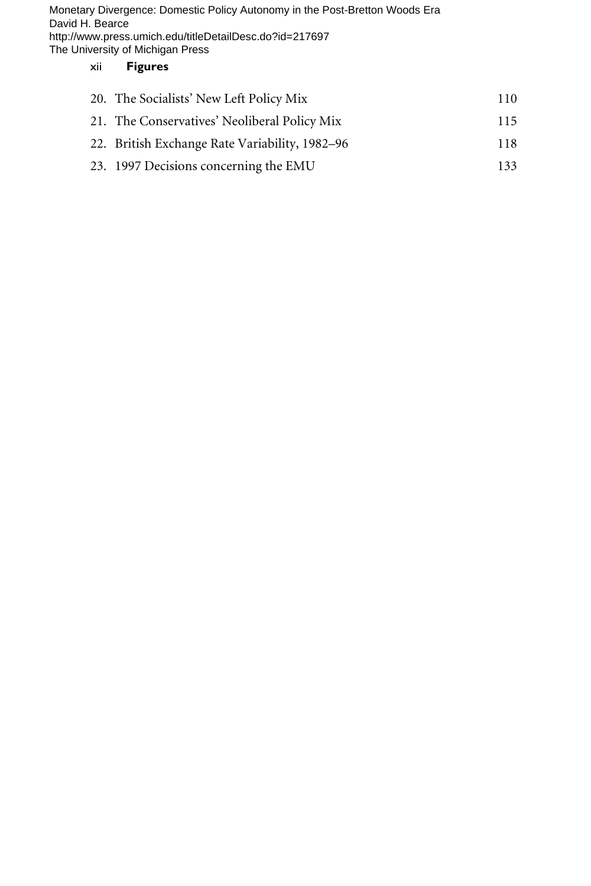#### xii **Figures**

| 20. The Socialists' New Left Policy Mix        | 110 |
|------------------------------------------------|-----|
| 21. The Conservatives' Neoliberal Policy Mix   | 115 |
| 22. British Exchange Rate Variability, 1982-96 | 118 |

23. 1997 Decisions concerning the EMU 133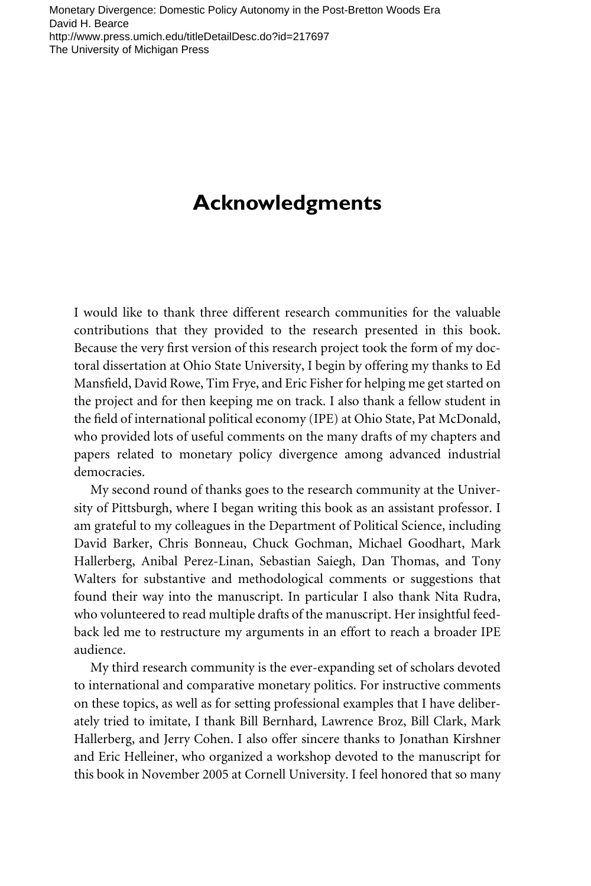### **Acknowledgments**

I would like to thank three different research communities for the valuable contributions that they provided to the research presented in this book. Because the very first version of this research project took the form of my doctoral dissertation at Ohio State University, I begin by offering my thanks to Ed Mansfield, David Rowe, Tim Frye, and Eric Fisher for helping me get started on the project and for then keeping me on track. I also thank a fellow student in the field of international political economy (IPE) at Ohio State, Pat McDonald, who provided lots of useful comments on the many drafts of my chapters and papers related to monetary policy divergence among advanced industrial democracies.

My second round of thanks goes to the research community at the University of Pittsburgh, where I began writing this book as an assistant professor. I am grateful to my colleagues in the Department of Political Science, including David Barker, Chris Bonneau, Chuck Gochman, Michael Goodhart, Mark Hallerberg, Anibal Perez-Linan, Sebastian Saiegh, Dan Thomas, and Tony Walters for substantive and methodological comments or suggestions that found their way into the manuscript. In particular I also thank Nita Rudra, who volunteered to read multiple drafts of the manuscript. Her insightful feedback led me to restructure my arguments in an effort to reach a broader IPE audience.

My third research community is the ever-expanding set of scholars devoted to international and comparative monetary politics. For instructive comments on these topics, as well as for setting professional examples that I have deliberately tried to imitate, I thank Bill Bernhard, Lawrence Broz, Bill Clark, Mark Hallerberg, and Jerry Cohen. I also offer sincere thanks to Jonathan Kirshner and Eric Helleiner, who organized a workshop devoted to the manuscript for this book in November 2005 at Cornell University. I feel honored that so many